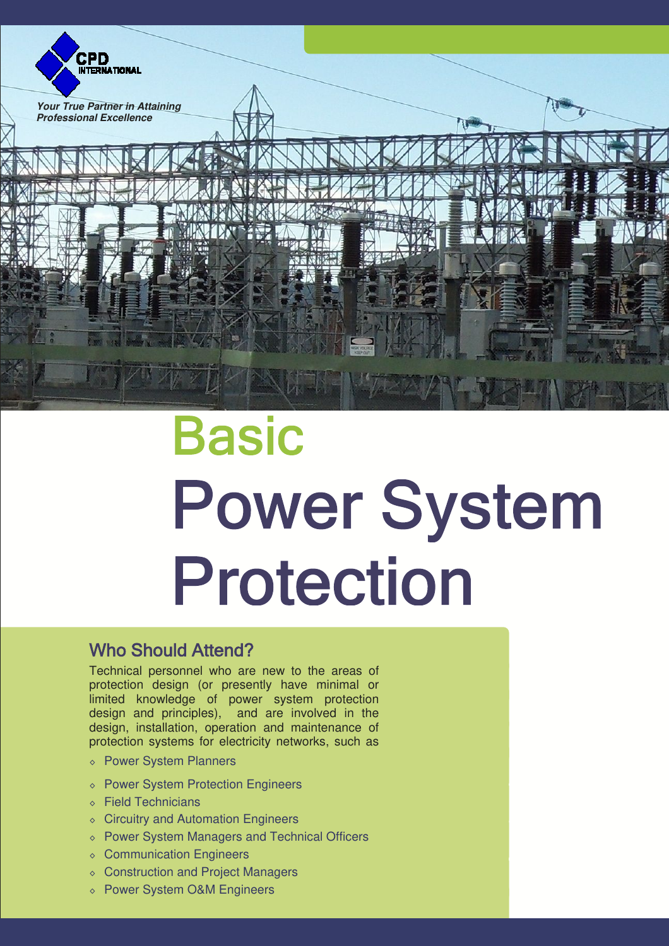

# **Basic Power System** Protection

## Who Should Attend?

Technical personnel who are new to the areas of protection design (or presently have minimal or limited knowledge of power system protection design and principles), and are involved in the design, installation, operation and maintenance of protection systems for electricity networks, such as

- ◊ Power System Planners
- ◊ Power System Protection Engineers
- ◊ Field Technicians
- ◊ Circuitry and Automation Engineers
- ◊ Power System Managers and Technical Officers
- ◊ Communication Engineers
- ◊ Construction and Project Managers
- ◊ Power System O&M Engineers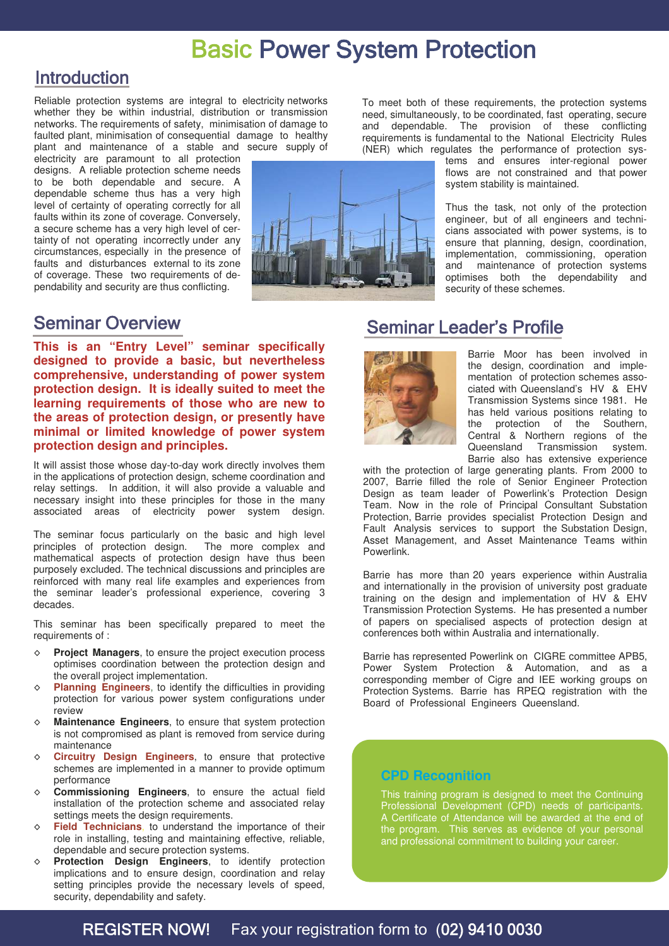## Basic Power System Protection

## Introduction

Reliable protection systems are integral to electricity networks whether they be within industrial, distribution or transmission networks. The requirements of safety, minimisation of damage to faulted plant, minimisation of consequential damage to healthy plant and maintenance of a stable and secure supply of

electricity are paramount to all protection designs. A reliable protection scheme needs to be both dependable and secure. A dependable scheme thus has a very high level of certainty of operating correctly for all faults within its zone of coverage. Conversely, a secure scheme has a very high level of certainty of not operating incorrectly under any circumstances, especially in the presence of faults and disturbances external to its zone of coverage. These two requirements of dependability and security are thus conflicting.



To meet both of these requirements, the protection systems need, simultaneously, to be coordinated, fast operating, secure and dependable. The provision of these conflicting requirements is fundamental to the National Electricity Rules (NER) which regulates the performance of protection sys-

tems and ensures inter-regional power flows are not constrained and that power system stability is maintained.

Thus the task, not only of the protection engineer, but of all engineers and technicians associated with power systems, is to ensure that planning, design, coordination, implementation, commissioning, operation and maintenance of protection systems optimises both the dependability and security of these schemes.

## Seminar Overview

**This is an "Entry Level" seminar specifically designed to provide a basic, but nevertheless comprehensive, understanding of power system protection design. It is ideally suited to meet the learning requirements of those who are new to the areas of protection design, or presently have minimal or limited knowledge of power system protection design and principles.**

It will assist those whose day-to-day work directly involves them in the applications of protection design, scheme coordination and relay settings. In addition, it will also provide a valuable and necessary insight into these principles for those in the many associated areas of electricity power system design.

The seminar focus particularly on the basic and high level principles of protection design. The more complex and mathematical aspects of protection design have thus been purposely excluded. The technical discussions and principles are reinforced with many real life examples and experiences from the seminar leader's professional experience, covering 3 decades.

This seminar has been specifically prepared to meet the requirements of :

- ◊ **Project Managers**, to ensure the project execution process optimises coordination between the protection design and the overall project implementation.
- **Planning Engineers**, to identify the difficulties in providing protection for various power system configurations under review
- ◊ **Maintenance Engineers**, to ensure that system protection is not compromised as plant is removed from service during maintenance
- ◊ **Circuitry Design Engineers**, to ensure that protective schemes are implemented in a manner to provide optimum performance
- ◊ **Commissioning Engineers**, to ensure the actual field installation of the protection scheme and associated relay settings meets the design requirements.
- ◊ **Field Technicians**, to understand the importance of their role in installing, testing and maintaining effective, reliable, dependable and secure protection systems.
- ◊ **Protection Design Engineers**, to identify protection implications and to ensure design, coordination and relay setting principles provide the necessary levels of speed, security, dependability and safety.

## Seminar Leader's Profile



Barrie Moor has been involved in the design, coordination and implementation of protection schemes associated with Queensland's HV & EHV Transmission Systems since 1981. He has held various positions relating to the protection of the Southern, Central & Northern regions of the Queensland Transmission system. Barrie also has extensive experience

with the protection of large generating plants. From 2000 to 2007, Barrie filled the role of Senior Engineer Protection Design as team leader of Powerlink's Protection Design Team. Now in the role of Principal Consultant Substation Protection, Barrie provides specialist Protection Design and Fault Analysis services to support the Substation Design, Asset Management, and Asset Maintenance Teams within Powerlink.

Barrie has more than 20 years experience within Australia and internationally in the provision of university post graduate training on the design and implementation of HV & EHV Transmission Protection Systems. He has presented a number of papers on specialised aspects of protection design at conferences both within Australia and internationally.

Barrie has represented Powerlink on CIGRE committee APB5, Power System Protection & Automation, and as a corresponding member of Cigre and IEE working groups on Protection Systems. Barrie has RPEQ registration with the Board of Professional Engineers Queensland.

### **CPD Recognition**

This training program is designed to meet the Continuing Professional Development (CPD) needs of participants. A Certificate of Attendance will be awarded at the end of the program. This serves as evidence of your personal and professional commitment to building your career.

## REGISTER NOW! Fax your registration form to (02) 9410 0030